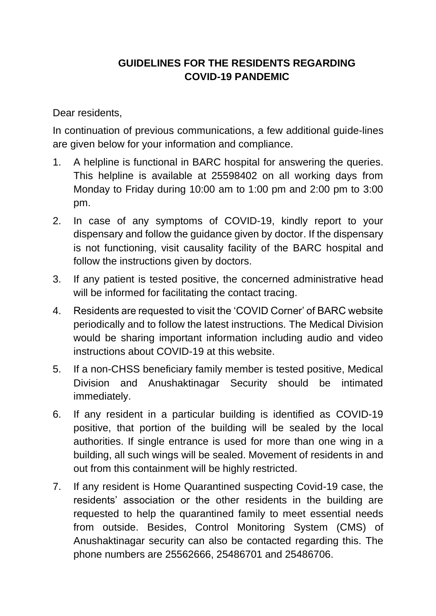## **GUIDELINES FOR THE RESIDENTS REGARDING COVID-19 PANDEMIC**

Dear residents,

In continuation of previous communications, a few additional guide-lines are given below for your information and compliance.

- 1. A helpline is functional in BARC hospital for answering the queries. This helpline is available at 25598402 on all working days from Monday to Friday during 10:00 am to 1:00 pm and 2:00 pm to 3:00 pm.
- 2. In case of any symptoms of COVID-19, kindly report to your dispensary and follow the guidance given by doctor. If the dispensary is not functioning, visit causality facility of the BARC hospital and follow the instructions given by doctors.
- 3. If any patient is tested positive, the concerned administrative head will be informed for facilitating the contact tracing.
- 4. Residents are requested to visit the 'COVID Corner' of BARC website periodically and to follow the latest instructions. The Medical Division would be sharing important information including audio and video instructions about COVID-19 at this website.
- 5. If a non-CHSS beneficiary family member is tested positive, Medical Division and Anushaktinagar Security should be intimated immediately.
- 6. If any resident in a particular building is identified as COVID-19 positive, that portion of the building will be sealed by the local authorities. If single entrance is used for more than one wing in a building, all such wings will be sealed. Movement of residents in and out from this containment will be highly restricted.
- 7. If any resident is Home Quarantined suspecting Covid-19 case, the residents' association or the other residents in the building are requested to help the quarantined family to meet essential needs from outside. Besides, Control Monitoring System (CMS) of Anushaktinagar security can also be contacted regarding this. The phone numbers are 25562666, 25486701 and 25486706.